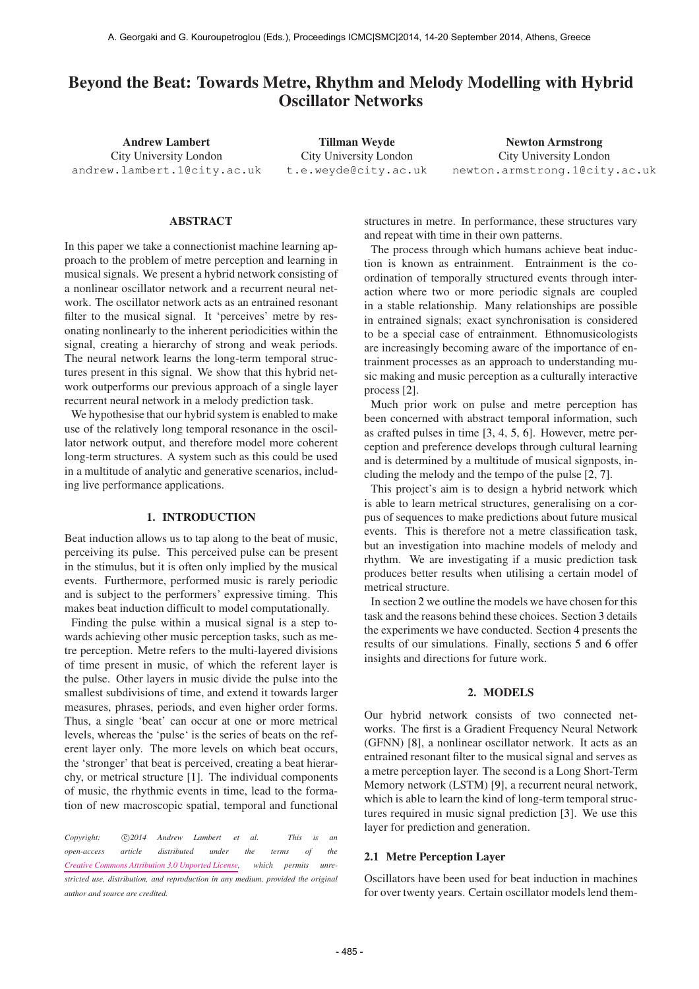# Beyond the Beat: Towards Metre, Rhythm and Melody Modelling with Hybrid Oscillator Networks

Andrew Lambert City University London [andrew.lambert.1@city.ac.uk](mailto:andrew.lambert.1@city.ac.uk)

Tillman Weyde City University London [t.e.weyde@city.ac.uk](mailto:t.e.weyde@city.ac.uk)

Newton Armstrong City University London [newton.armstrong.1@city.ac.uk](mailto:newton.armstrong.1@city.ac.uk)

### ABSTRACT

In this paper we take a connectionist machine learning approach to the problem of metre perception and learning in musical signals. We present a hybrid network consisting of a nonlinear oscillator network and a recurrent neural network. The oscillator network acts as an entrained resonant filter to the musical signal. It 'perceives' metre by resonating nonlinearly to the inherent periodicities within the signal, creating a hierarchy of strong and weak periods. The neural network learns the long-term temporal structures present in this signal. We show that this hybrid network outperforms our previous approach of a single layer recurrent neural network in a melody prediction task.

We hypothesise that our hybrid system is enabled to make use of the relatively long temporal resonance in the oscillator network output, and therefore model more coherent long-term structures. A system such as this could be used in a multitude of analytic and generative scenarios, including live performance applications.

#### 1. INTRODUCTION

Beat induction allows us to tap along to the beat of music, perceiving its pulse. This perceived pulse can be present in the stimulus, but it is often only implied by the musical events. Furthermore, performed music is rarely periodic and is subject to the performers' expressive timing. This makes beat induction difficult to model computationally.

Finding the pulse within a musical signal is a step towards achieving other music perception tasks, such as metre perception. Metre refers to the multi-layered divisions of time present in music, of which the referent layer is the pulse. Other layers in music divide the pulse into the smallest subdivisions of time, and extend it towards larger measures, phrases, periods, and even higher order forms. Thus, a single 'beat' can occur at one or more metrical levels, whereas the 'pulse' is the series of beats on the referent layer only. The more levels on which beat occurs, the 'stronger' that beat is perceived, creating a beat hierarchy, or metrical structure [1]. The individual components of music, the rhythmic events in time, lead to the formation of new macroscopic spatial, temporal and functional

Copyright:  $\bigcirc$  2014 Andrew Lambert et al. This is an *open-access article distributed under the terms of the [Creative Commons Attribution 3.0 Unported License,](http://creativecommons.org/licenses/by/3.0/) which permits unrestricted use, distribution, and reproduction in any medium, provided the original author and source are credited.*

structures in metre. In performance, these structures vary and repeat with time in their own patterns.

The process through which humans achieve beat induction is known as entrainment. Entrainment is the coordination of temporally structured events through interaction where two or more periodic signals are coupled in a stable relationship. Many relationships are possible in entrained signals; exact synchronisation is considered to be a special case of entrainment. Ethnomusicologists are increasingly becoming aware of the importance of entrainment processes as an approach to understanding music making and music perception as a culturally interactive process [2].

Much prior work on pulse and metre perception has been concerned with abstract temporal information, such as crafted pulses in time [3, 4, 5, 6]. However, metre perception and preference develops through cultural learning and is determined by a multitude of musical signposts, including the melody and the tempo of the pulse [2, 7].

This project's aim is to design a hybrid network which is able to learn metrical structures, generalising on a corpus of sequences to make predictions about future musical events. This is therefore not a metre classification task, but an investigation into machine models of melody and rhythm. We are investigating if a music prediction task produces better results when utilising a certain model of metrical structure.

In section 2 we outline the models we have chosen for this task and the reasons behind these choices. Section 3 details the experiments we have conducted. Section 4 presents the results of our simulations. Finally, sections 5 and 6 offer insights and directions for future work.

### 2. MODELS

Our hybrid network consists of two connected networks. The first is a Gradient Frequency Neural Network (GFNN) [8], a nonlinear oscillator network. It acts as an entrained resonant filter to the musical signal and serves as a metre perception layer. The second is a Long Short-Term Memory network (LSTM) [9], a recurrent neural network, which is able to learn the kind of long-term temporal structures required in music signal prediction [3]. We use this layer for prediction and generation.

#### 2.1 Metre Perception Layer

Oscillators have been used for beat induction in machines for over twenty years. Certain oscillator models lend them-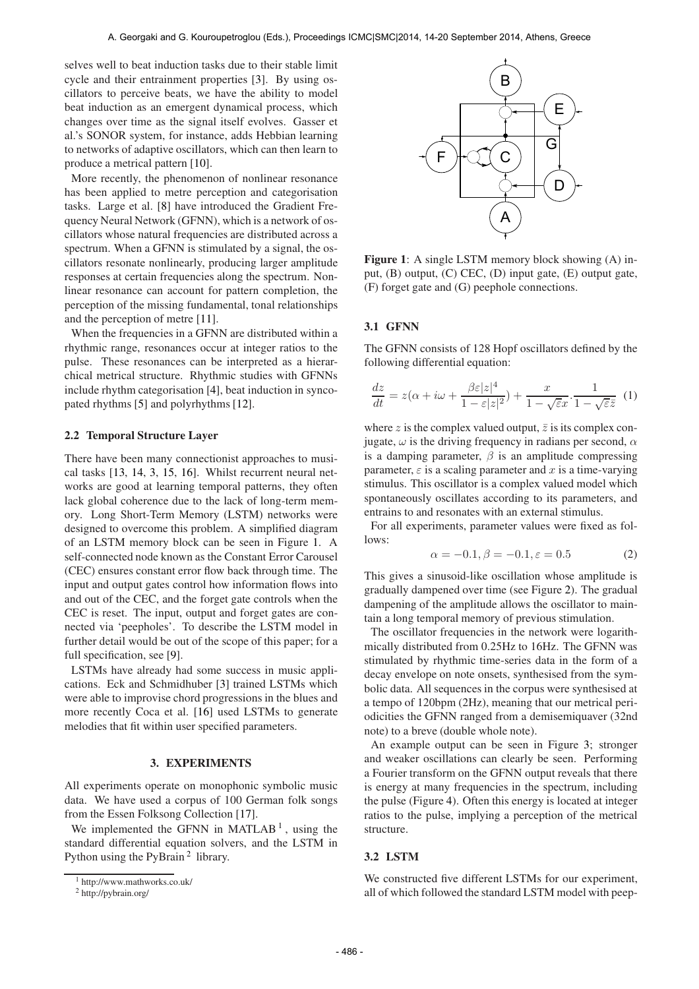selves well to beat induction tasks due to their stable limit cycle and their entrainment properties [3]. By using oscillators to perceive beats, we have the ability to model beat induction as an emergent dynamical process, which changes over time as the signal itself evolves. Gasser et al.'s SONOR system, for instance, adds Hebbian learning to networks of adaptive oscillators, which can then learn to produce a metrical pattern [10].

More recently, the phenomenon of nonlinear resonance has been applied to metre perception and categorisation tasks. Large et al. [8] have introduced the Gradient Frequency Neural Network (GFNN), which is a network of oscillators whose natural frequencies are distributed across a spectrum. When a GFNN is stimulated by a signal, the oscillators resonate nonlinearly, producing larger amplitude responses at certain frequencies along the spectrum. Nonlinear resonance can account for pattern completion, the perception of the missing fundamental, tonal relationships and the perception of metre [11].

When the frequencies in a GFNN are distributed within a rhythmic range, resonances occur at integer ratios to the pulse. These resonances can be interpreted as a hierarchical metrical structure. Rhythmic studies with GFNNs include rhythm categorisation [4], beat induction in syncopated rhythms [5] and polyrhythms [12].

#### 2.2 Temporal Structure Layer

There have been many connectionist approaches to musical tasks [13, 14, 3, 15, 16]. Whilst recurrent neural networks are good at learning temporal patterns, they often lack global coherence due to the lack of long-term memory. Long Short-Term Memory (LSTM) networks were designed to overcome this problem. A simplified diagram of an LSTM memory block can be seen in Figure 1. A self-connected node known as the Constant Error Carousel (CEC) ensures constant error flow back through time. The input and output gates control how information flows into and out of the CEC, and the forget gate controls when the CEC is reset. The input, output and forget gates are connected via 'peepholes'. To describe the LSTM model in further detail would be out of the scope of this paper; for a full specification, see [9].

LSTMs have already had some success in music applications. Eck and Schmidhuber [3] trained LSTMs which were able to improvise chord progressions in the blues and more recently Coca et al. [16] used LSTMs to generate melodies that fit within user specified parameters.

## 3. EXPERIMENTS

All experiments operate on monophonic symbolic music data. We have used a corpus of 100 German folk songs from the Essen Folksong Collection [17].

We implemented the GFNN in MATLAB<sup>1</sup>, using the standard differential equation solvers, and the LSTM in Python using the PyBrain<sup>2</sup> library.



Figure 1: A single LSTM memory block showing (A) input, (B) output, (C) CEC, (D) input gate, (E) output gate, (F) forget gate and (G) peephole connections.

## 3.1 GFNN

The GFNN consists of 128 Hopf oscillators defined by the following differential equation:

$$
\frac{dz}{dt} = z(\alpha + i\omega + \frac{\beta \varepsilon |z|^4}{1 - \varepsilon |z|^2}) + \frac{x}{1 - \sqrt{\varepsilon}x} \cdot \frac{1}{1 - \sqrt{\varepsilon}\overline{z}} \tag{1}
$$

where z is the complex valued output,  $\overline{z}$  is its complex conjugate,  $\omega$  is the driving frequency in radians per second,  $\alpha$ is a damping parameter,  $\beta$  is an amplitude compressing parameter,  $\varepsilon$  is a scaling parameter and x is a time-varying stimulus. This oscillator is a complex valued model which spontaneously oscillates according to its parameters, and entrains to and resonates with an external stimulus.

For all experiments, parameter values were fixed as follows:

$$
\alpha = -0.1, \beta = -0.1, \varepsilon = 0.5 \tag{2}
$$

This gives a sinusoid-like oscillation whose amplitude is gradually dampened over time (see Figure 2). The gradual dampening of the amplitude allows the oscillator to maintain a long temporal memory of previous stimulation.

The oscillator frequencies in the network were logarithmically distributed from 0.25Hz to 16Hz. The GFNN was stimulated by rhythmic time-series data in the form of a decay envelope on note onsets, synthesised from the symbolic data. All sequences in the corpus were synthesised at a tempo of 120bpm (2Hz), meaning that our metrical periodicities the GFNN ranged from a demisemiquaver (32nd note) to a breve (double whole note).

An example output can be seen in Figure 3; stronger and weaker oscillations can clearly be seen. Performing a Fourier transform on the GFNN output reveals that there is energy at many frequencies in the spectrum, including the pulse (Figure 4). Often this energy is located at integer ratios to the pulse, implying a perception of the metrical structure.

## 3.2 LSTM

We constructed five different LSTMs for our experiment, all of which followed the standard LSTM model with peep-

<sup>1</sup> http://www.mathworks.co.uk/

<sup>2</sup> http://pybrain.org/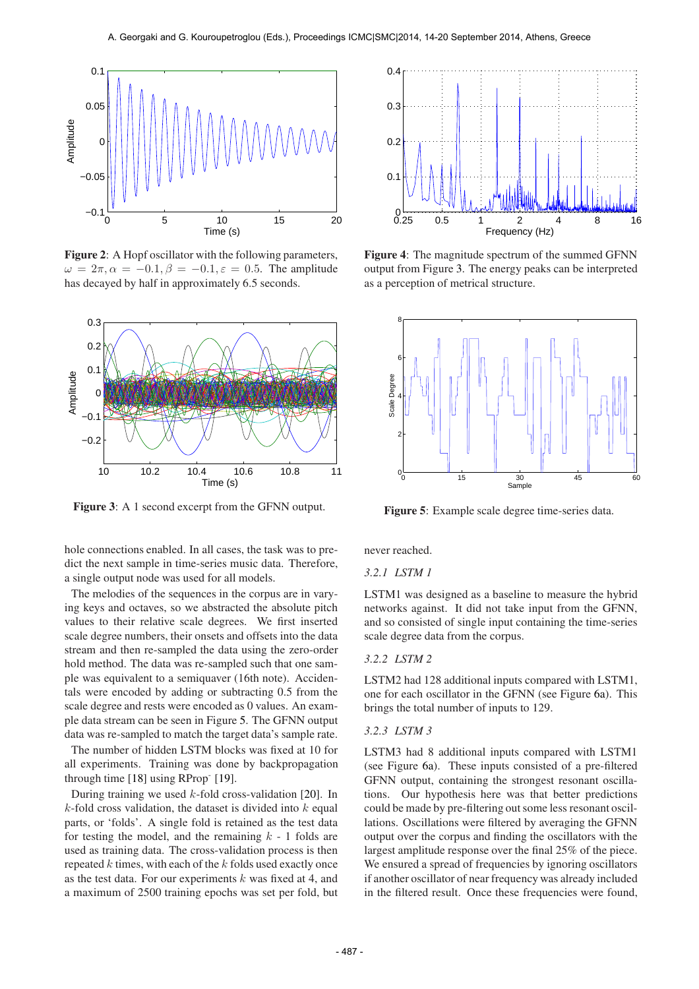

Figure 2: A Hopf oscillator with the following parameters,  $\omega = 2\pi, \alpha = -0.1, \beta = -0.1, \varepsilon = 0.5$ . The amplitude has decayed by half in approximately 6.5 seconds.



Figure 3: A 1 second excerpt from the GFNN output.

hole connections enabled. In all cases, the task was to predict the next sample in time-series music data. Therefore, a single output node was used for all models.

The melodies of the sequences in the corpus are in varying keys and octaves, so we abstracted the absolute pitch values to their relative scale degrees. We first inserted scale degree numbers, their onsets and offsets into the data stream and then re-sampled the data using the zero-order hold method. The data was re-sampled such that one sample was equivalent to a semiquaver (16th note). Accidentals were encoded by adding or subtracting 0.5 from the scale degree and rests were encoded as 0 values. An example data stream can be seen in Figure 5. The GFNN output data was re-sampled to match the target data's sample rate.

The number of hidden LSTM blocks was fixed at 10 for all experiments. Training was done by backpropagation through time [18] using RProp<sup>-</sup> [19].

During training we used  $k$ -fold cross-validation [20]. In  $k$ -fold cross validation, the dataset is divided into  $k$  equal parts, or 'folds'. A single fold is retained as the test data for testing the model, and the remaining  $k - 1$  folds are used as training data. The cross-validation process is then repeated  $k$  times, with each of the  $k$  folds used exactly once as the test data. For our experiments  $k$  was fixed at 4, and a maximum of 2500 training epochs was set per fold, but



Figure 4: The magnitude spectrum of the summed GFNN output from Figure 3. The energy peaks can be interpreted as a perception of metrical structure.



Figure 5: Example scale degree time-series data.

never reached.

### *3.2.1 LSTM 1*

LSTM1 was designed as a baseline to measure the hybrid networks against. It did not take input from the GFNN, and so consisted of single input containing the time-series scale degree data from the corpus.

## *3.2.2 LSTM 2*

LSTM2 had 128 additional inputs compared with LSTM1, one for each oscillator in the GFNN (see Figure 6a). This brings the total number of inputs to 129.

#### *3.2.3 LSTM 3*

LSTM3 had 8 additional inputs compared with LSTM1 (see Figure 6a). These inputs consisted of a pre-filtered GFNN output, containing the strongest resonant oscillations. Our hypothesis here was that better predictions could be made by pre-filtering out some less resonant oscillations. Oscillations were filtered by averaging the GFNN output over the corpus and finding the oscillators with the largest amplitude response over the final 25% of the piece. We ensured a spread of frequencies by ignoring oscillators if another oscillator of near frequency was already included in the filtered result. Once these frequencies were found,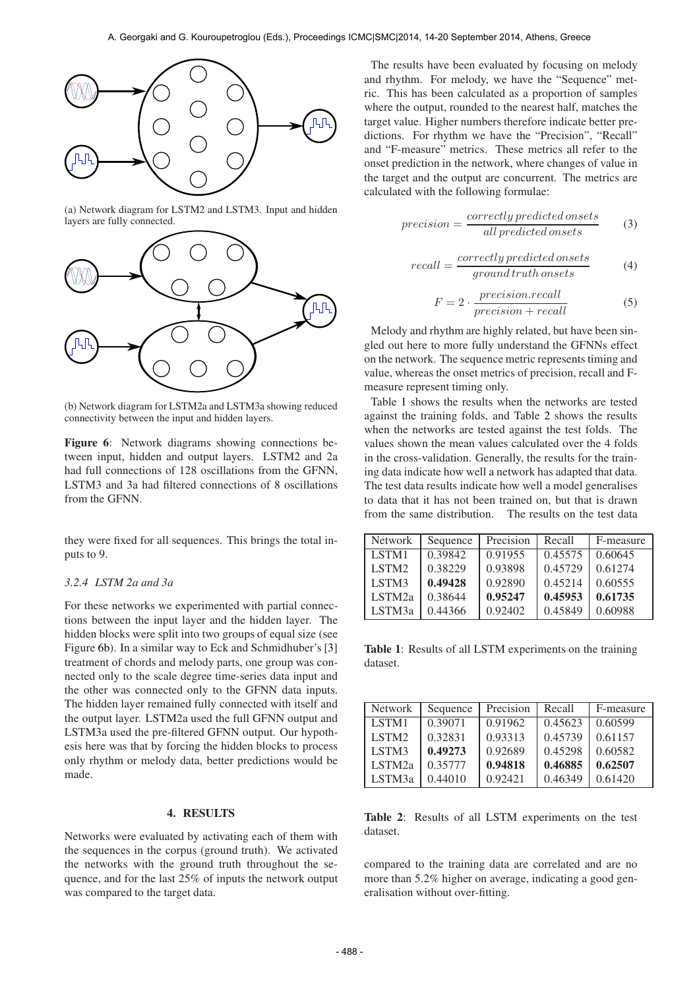

(a) Network diagram for LSTM2 and LSTM3. Input and hidden layers are fully connected.



(b) Network diagram for LSTM2a and LSTM3a showing reduced connectivity between the input and hidden layers.

Figure 6: Network diagrams showing connections between input, hidden and output layers. LSTM2 and 2a had full connections of 128 oscillations from the GFNN, LSTM3 and 3a had filtered connections of 8 oscillations from the GFNN.

they were fixed for all sequences. This brings the total inputs to 9.

## *3.2.4 LSTM 2a and 3a*

For these networks we experimented with partial connections between the input layer and the hidden layer. The hidden blocks were split into two groups of equal size (see Figure 6b). In a similar way to Eck and Schmidhuber's [3] treatment of chords and melody parts, one group was connected only to the scale degree time-series data input and the other was connected only to the GFNN data inputs. The hidden layer remained fully connected with itself and the output layer. LSTM2a used the full GFNN output and LSTM3a used the pre-filtered GFNN output. Our hypothesis here was that by forcing the hidden blocks to process only rhythm or melody data, better predictions would be made.

#### 4. RESULTS

Networks were evaluated by activating each of them with the sequences in the corpus (ground truth). We activated the networks with the ground truth throughout the sequence, and for the last 25% of inputs the network output was compared to the target data.

The results have been evaluated by focusing on melody and rhythm. For melody, we have the "Sequence" metric. This has been calculated as a proportion of samples where the output, rounded to the nearest half, matches the target value. Higher numbers therefore indicate better predictions. For rhythm we have the "Precision", "Recall" and "F-measure" metrics. These metrics all refer to the onset prediction in the network, where changes of value in the target and the output are concurrent. The metrics are calculated with the following formulae:

$$
precision = \frac{correctly\,predicted\,onsets}{all\,predicted\,onsets} \tag{3}
$$

$$
recall = \frac{correctly\,predicted\,onsets}{ground\,truth\,onsets} \tag{4}
$$

$$
F = 2 \cdot \frac{precision \cdot recall}{precision + recall}
$$
 (5)

Melody and rhythm are highly related, but have been singled out here to more fully understand the GFNNs effect on the network. The sequence metric represents timing and value, whereas the onset metrics of precision, recall and Fmeasure represent timing only.

Table 1 shows the results when the networks are tested against the training folds, and Table 2 shows the results when the networks are tested against the test folds. The values shown the mean values calculated over the 4 folds in the cross-validation. Generally, the results for the training data indicate how well a network has adapted that data. The test data results indicate how well a model generalises to data that it has not been trained on, but that is drawn from the same distribution. The results on the test data

| Network            | Sequence | Precision | Recall  | F-measure |
|--------------------|----------|-----------|---------|-----------|
| LSTM1              | 0.39842  | 0.91955   | 0.45575 | 0.60645   |
| LSTM <sub>2</sub>  | 0.38229  | 0.93898   | 0.45729 | 0.61274   |
| LSTM3              | 0.49428  | 0.92890   | 0.45214 | 0.60555   |
| LSTM <sub>2a</sub> | 0.38644  | 0.95247   | 0.45953 | 0.61735   |
| LSTM3a             | 0.44366  | 0.92402   | 0.45849 | 0.60988   |

Table 1: Results of all LSTM experiments on the training dataset.

| <b>Network</b>    | Sequence | Precision | Recall  | F-measure |
|-------------------|----------|-----------|---------|-----------|
| LSTM1             | 0.39071  | 0.91962   | 0.45623 | 0.60599   |
| LSTM <sub>2</sub> | 0.32831  | 0.93313   | 0.45739 | 0.61157   |
| LSTM3             | 0.49273  | 0.92689   | 0.45298 | 0.60582   |
| LSTM2a            | 0.35777  | 0.94818   | 0.46885 | 0.62507   |
| LSTM3a            | 0.44010  | 0.92421   | 0.46349 | 0.61420   |

Table 2: Results of all LSTM experiments on the test dataset.

compared to the training data are correlated and are no more than 5.2% higher on average, indicating a good generalisation without over-fitting.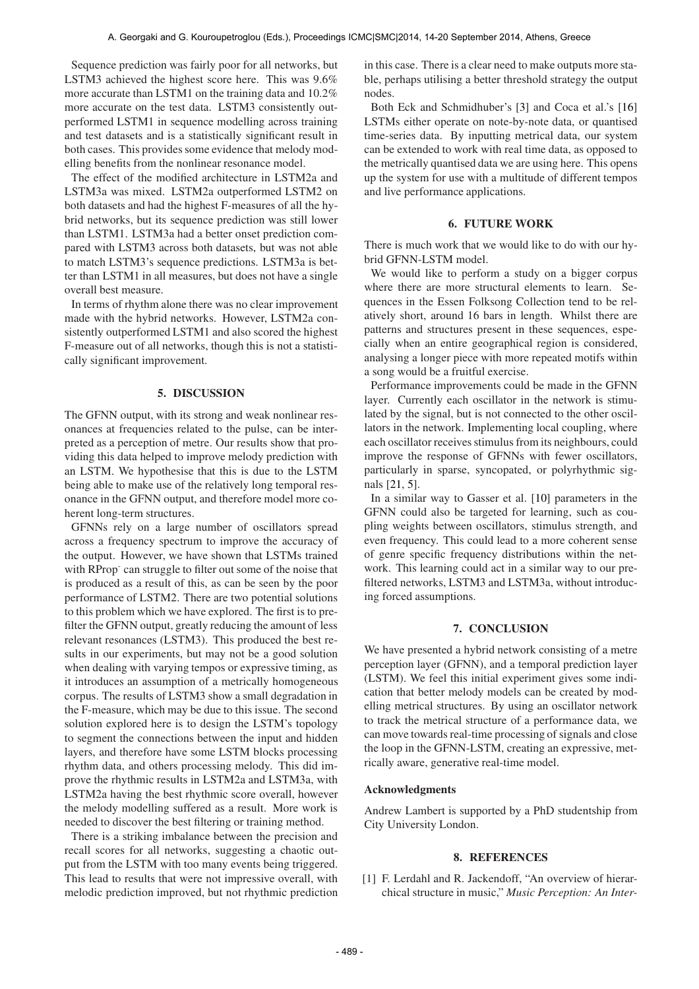Sequence prediction was fairly poor for all networks, but LSTM3 achieved the highest score here. This was 9.6% more accurate than LSTM1 on the training data and 10.2% more accurate on the test data. LSTM3 consistently outperformed LSTM1 in sequence modelling across training and test datasets and is a statistically significant result in both cases. This provides some evidence that melody modelling benefits from the nonlinear resonance model.

The effect of the modified architecture in LSTM2a and LSTM3a was mixed. LSTM2a outperformed LSTM2 on both datasets and had the highest F-measures of all the hybrid networks, but its sequence prediction was still lower than LSTM1. LSTM3a had a better onset prediction compared with LSTM3 across both datasets, but was not able to match LSTM3's sequence predictions. LSTM3a is better than LSTM1 in all measures, but does not have a single overall best measure.

In terms of rhythm alone there was no clear improvement made with the hybrid networks. However, LSTM2a consistently outperformed LSTM1 and also scored the highest F-measure out of all networks, though this is not a statistically significant improvement.

## 5. DISCUSSION

The GFNN output, with its strong and weak nonlinear resonances at frequencies related to the pulse, can be interpreted as a perception of metre. Our results show that providing this data helped to improve melody prediction with an LSTM. We hypothesise that this is due to the LSTM being able to make use of the relatively long temporal resonance in the GFNN output, and therefore model more coherent long-term structures.

GFNNs rely on a large number of oscillators spread across a frequency spectrum to improve the accuracy of the output. However, we have shown that LSTMs trained with RProp<sup>-</sup> can struggle to filter out some of the noise that is produced as a result of this, as can be seen by the poor performance of LSTM2. There are two potential solutions to this problem which we have explored. The first is to prefilter the GFNN output, greatly reducing the amount of less relevant resonances (LSTM3). This produced the best results in our experiments, but may not be a good solution when dealing with varying tempos or expressive timing, as it introduces an assumption of a metrically homogeneous corpus. The results of LSTM3 show a small degradation in the F-measure, which may be due to this issue. The second solution explored here is to design the LSTM's topology to segment the connections between the input and hidden layers, and therefore have some LSTM blocks processing rhythm data, and others processing melody. This did improve the rhythmic results in LSTM2a and LSTM3a, with LSTM2a having the best rhythmic score overall, however the melody modelling suffered as a result. More work is needed to discover the best filtering or training method.

There is a striking imbalance between the precision and recall scores for all networks, suggesting a chaotic output from the LSTM with too many events being triggered. This lead to results that were not impressive overall, with melodic prediction improved, but not rhythmic prediction

in this case. There is a clear need to make outputs more stable, perhaps utilising a better threshold strategy the output nodes.

Both Eck and Schmidhuber's [3] and Coca et al.'s [16] LSTMs either operate on note-by-note data, or quantised time-series data. By inputting metrical data, our system can be extended to work with real time data, as opposed to the metrically quantised data we are using here. This opens up the system for use with a multitude of different tempos and live performance applications.

## 6. FUTURE WORK

There is much work that we would like to do with our hybrid GFNN-LSTM model.

We would like to perform a study on a bigger corpus where there are more structural elements to learn. Sequences in the Essen Folksong Collection tend to be relatively short, around 16 bars in length. Whilst there are patterns and structures present in these sequences, especially when an entire geographical region is considered, analysing a longer piece with more repeated motifs within a song would be a fruitful exercise.

Performance improvements could be made in the GFNN layer. Currently each oscillator in the network is stimulated by the signal, but is not connected to the other oscillators in the network. Implementing local coupling, where each oscillator receives stimulus from its neighbours, could improve the response of GFNNs with fewer oscillators, particularly in sparse, syncopated, or polyrhythmic signals [21, 5].

In a similar way to Gasser et al. [10] parameters in the GFNN could also be targeted for learning, such as coupling weights between oscillators, stimulus strength, and even frequency. This could lead to a more coherent sense of genre specific frequency distributions within the network. This learning could act in a similar way to our prefiltered networks, LSTM3 and LSTM3a, without introducing forced assumptions.

#### 7. CONCLUSION

We have presented a hybrid network consisting of a metre perception layer (GFNN), and a temporal prediction layer (LSTM). We feel this initial experiment gives some indication that better melody models can be created by modelling metrical structures. By using an oscillator network to track the metrical structure of a performance data, we can move towards real-time processing of signals and close the loop in the GFNN-LSTM, creating an expressive, metrically aware, generative real-time model.

#### Acknowledgments

Andrew Lambert is supported by a PhD studentship from City University London.

# 8. REFERENCES

[1] F. Lerdahl and R. Jackendoff, "An overview of hierarchical structure in music," *Music Perception: An Inter-*